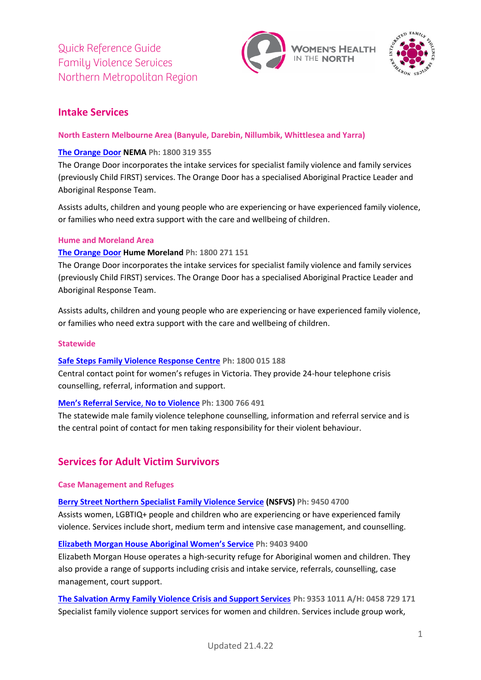



# **Intake Services**

## **North Eastern Melbourne Area (Banyule, Darebin, Nillumbik, Whittlesea and Yarra)**

## **[The Orange Door](https://orangedoor.vic.gov.au/) NEMA Ph: 1800 319 355**

The Orange Door incorporates the intake services for specialist family violence and family services (previously Child FIRST) services. The Orange Door has a specialised Aboriginal Practice Leader and Aboriginal Response Team.

Assists adults, children and young people who are experiencing or have experienced family violence, or families who need extra support with the care and wellbeing of children.

## **Hume and Moreland Area**

## **[The Orange](https://orangedoor.vic.gov.au/) Door Hume Moreland Ph: 1800 271 151**

The Orange Door incorporates the intake services for specialist family violence and family services (previously Child FIRST) services. The Orange Door has a specialised Aboriginal Practice Leader and Aboriginal Response Team.

Assists adults, children and young people who are experiencing or have experienced family violence, or families who need extra support with the care and wellbeing of children.

## **Statewide**

## **[Safe Steps Family Violence Response Centre](https://www.safesteps.org.au/) Ph: 1800 015 188**

Central contact point for women's refuges in Victoria. They provide 24-hour telephone crisis counselling, referral, information and support.

## **[Men's Referral Service](https://ntv.org.au/)**, **No to Violence Ph: 1300 766 491**

The statewide male family violence telephone counselling, information and referral service and is the central point of contact for men taking responsibility for their violent behaviour.

# **Services for Adult Victim Survivors**

## **Case Management and Refuges**

**[Berry Street Northern Specialist](https://www.berrystreet.org.au/our-work/building-stronger-families/family-violence/nothern-region) Family Violence Service (NSFVS) Ph: 9450 4700**

Assists women, LGBTIQ+ people and children who are experiencing or have experienced family violence. Services include short, medium term and intensive case management, and counselling.

## **Elizabeth Morgan House [Aboriginal Women's Service](https://www.emhaws.org.au/) Ph: 9403 9400**

Elizabeth Morgan House operates a high-security refuge for Aboriginal women and children. They also provide a range of supports including crisis and intake service, referrals, counselling, case management, court support.

**[The Salvation Army Family Violence Crisis and Support Services](https://www.salvationarmy.org.au/need-help/family-and-domestic-violence/) Ph: 9353 1011 A/H: 0458 729 171** Specialist family violence support services for women and children. Services include group work,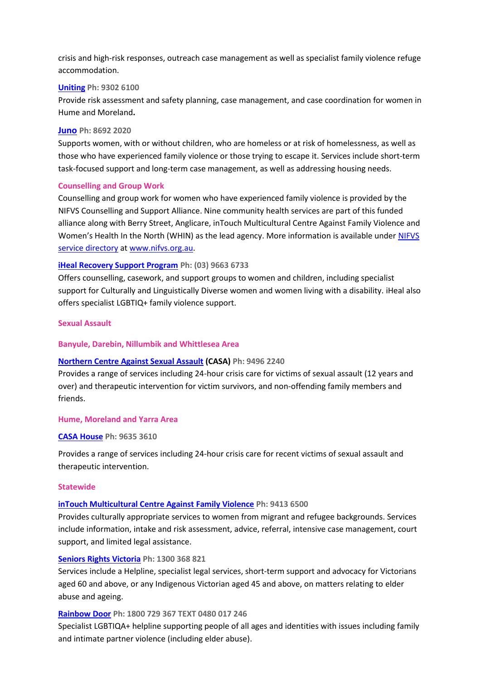crisis and high-risk responses, outreach case management as well as specialist family violence refuge accommodation.

### **[Uniting](https://www.unitingkildonan.org.au/programs-and-services/child-youth-and-family-support/family-violence/) Ph: 9302 6100**

Provide risk assessment and safety planning, case management, and case coordination for women in Hume and Moreland**.**

#### **[Juno](https://juno.org.au/) Ph: 8692 2020**

Supports women, with or without children, who are homeless or at risk of homelessness, as well as those who have experienced family violence or those trying to escape it. Services include short-term task-focused support and long-term case management, as well as addressing housing needs.

#### **Counselling and Group Work**

Counselling and group work for women who have experienced family violence is provided by the NIFVS Counselling and Support Alliance. Nine community health services are part of this funded alliance along with Berry Street, Anglicare, inTouch Multicultural Centre Against Family Violence and Women's Health In the North (WHIN) as the lead agency. More information is available under [NIFVS](https://www.nifvs.org.au/find-services)  [service directory](https://www.nifvs.org.au/find-services) at [www.nifvs.org.au.](http://www.nifvs.org.au/)

## **[iHeal Recovery Support Program](https://ds.org.au/our-services/iheal-family-violence-recovery-support/) Ph: (03) 9663 6733**

Offers counselling, casework, and support groups to women and children, including specialist support for Culturally and Linguistically Diverse women and women living with a disability. iHeal also offers specialist LGBTIQ+ family violence support.

## **Sexual Assault**

### **Banyule, Darebin, Nillumbik and Whittlesea Area**

## **[Northern Centre Against Sexual Assault](https://www.austin.org.au/northerncasa) (CASA) Ph: 9496 2240**

Provides a range of services including 24-hour crisis care for victims of sexual assault (12 years and over) and therapeutic intervention for victim survivors, and non-offending family members and friends.

#### **Hume, Moreland and Yarra Area**

#### **CASA [House](http://www.casahouse.com.au/index.php?page_id=1) Ph: 9635 3610**

Provides a range of services including 24-hour crisis care for recent victims of sexual assault and therapeutic intervention.

#### **Statewide**

#### **[inTouch Multicultural Centre Against Family Violence](https://intouch.org.au/) Ph: 9413 6500**

Provides culturally appropriate services to women from migrant and refugee backgrounds. Services include information, intake and risk assessment, advice, referral, intensive case management, court support, and limited legal assistance.

#### **[Seniors Rights Victoria](https://seniorsrights.org.au/) Ph: 1300 368 821**

Services include a Helpline, specialist [legal services,](https://seniorsrights.org.au/services/legal-services/) short-term support and [advocacy](https://seniorsrights.org.au/services/advocacy/) for Victorians aged 60 and above, or any Indigenous Victorian aged 45 and above, on matters relating to elder abuse and ageing.

#### **[Rainbow Door](https://www.rainbowdoor.org.au/) Ph: 1800 729 367 TEXT 0480 017 246**

Specialist LGBTIQA+ helpline supporting people of all ages and identities with issues including family and intimate partner violence (including elder abuse).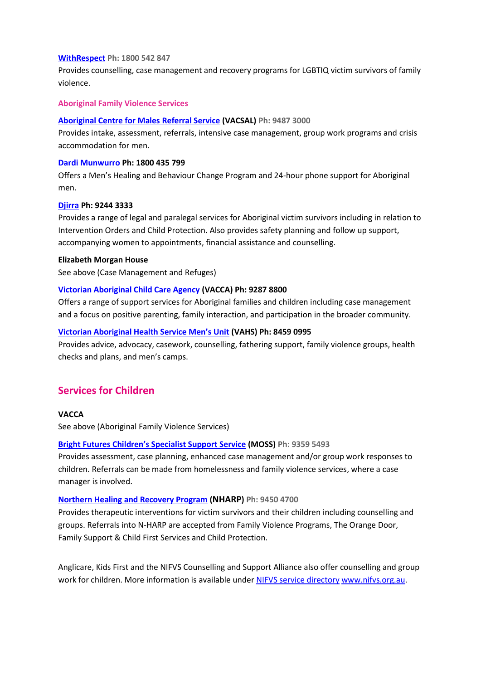#### **[WithRespect](https://www.withrespect.org.au/) Ph: 1800 542 847**

Provides counselling, case management and recovery programs for LGBTIQ victim survivors of family violence.

## **Aboriginal Family Violence Services**

#### **[Aboriginal Centre for Males](http://www.vacsal.org.au/programs/aboriginal-centre-for-males-referral-service.aspx) Referral Service (VACSAL) Ph: 9487 3000**

Provides intake, assessment, referrals, intensive case management, group work programs and crisis accommodation for men.

#### **[Dardi Munwurro](https://www.dardimunwurro.com.au/mens-family-violence-healing-behaviour-change-programs) Ph: 1800 435 799**

Offers a Men's Healing and Behaviour Change Program and 24-hour phone support for Aboriginal men.

#### **[Djirra](https://djirra.org.au/) Ph: 9244 3333**

Provides a range of legal and paralegal services for Aboriginal victim survivors including in relation to Intervention Orders and Child Protection. Also provides safety planning and follow up support, accompanying women to appointments, financial assistance and counselling.

#### **Elizabeth Morgan House**

See above (Case Management and Refuges)

#### **[Victorian Aboriginal Child Care Agency](https://www.vacca.org/) (VACCA) Ph: 9287 8800**

Offers a range of support services for Aboriginal families and children including case management and a focus on positive parenting, family interaction, and participation in the broader community.

#### **Vic[torian Aboriginal Health Service Men's Unit](https://www.vahs.org.au/mens-unit/) (VAHS) Ph: 8459 0995**

Provides advice, advocacy, casework, counselling, fathering support, family violence groups, health checks and plans, and men's camps.

## **Services for Children**

## **VACCA**

See above (Aboriginal Family Violence Services)

## **Bright Futures [Children's Specialist Support Service](https://www.nifvs.org.au/boojum_services/bright-futures-childrens-specialist-support-service-moss-2/) (MOSS) Ph: 9359 5493**

Provides assessment, case planning, enhanced case management and/or group work responses to children. Referrals can be made from homelessness and family violence services, where a case manager is involved.

#### **[Northern Healing and Recovery Program](https://www.berrystreet.org.au/what-we-do/trauma-services/therapeutic-services-for-children-young-people-and-families/northern-healing-recovery-program) ([NHARP](https://www.nifvs.org.au/boojum_services/n-harp-northern-healing-and-recovery-program/)) Ph: 9450 4700**

Provides therapeutic interventions for victim survivors and their children including counselling and groups. Referrals into N-HARP are accepted from Family Violence Programs, The Orange Door, Family Support & Child First Services and Child Protection.

Anglicare, Kids First and the NIFVS Counselling and Support Alliance also offer counselling and group work for children. More information is available under [NIFVS service directory](https://www.nifvs.org.au/find-services/) [www.nifvs.org.au.](http://www.nifvs.org.au/)